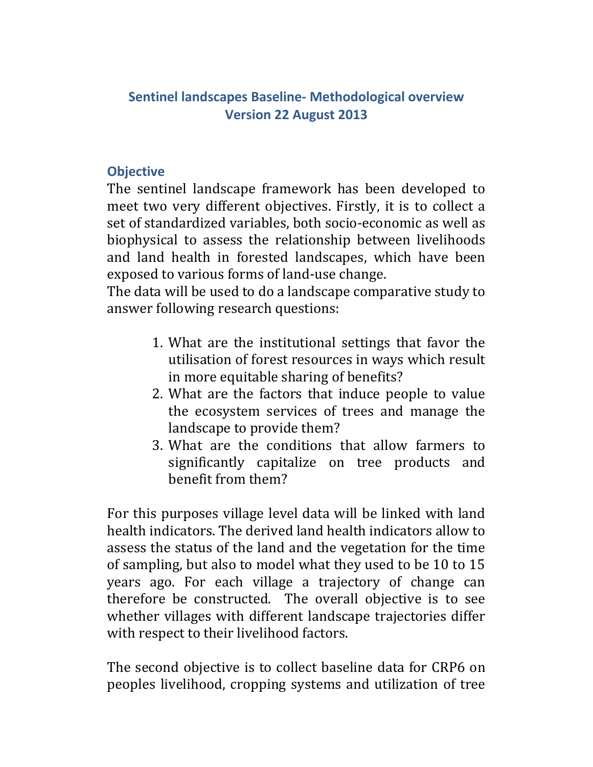# **Sentinel landscapes Baseline‐ Methodological overview Version 22 August 2013**

#### **Objective**

The sentinel landscape framework has been developed to meet two very different objectives. Firstly, it is to collect a set of standardized variables, both socio-economic as well as biophysical to assess the relationship between livelihoods and land health in forested landscapes, which have been exposed to various forms of land-use change.

The data will be used to do a landscape comparative study to answer following research questions:

- 1. What are the institutional settings that favor the utilisation of forest resources in ways which result in more equitable sharing of benefits?
- 2. What are the factors that induce people to value the ecosystem services of trees and manage the landscape to provide them?
- 3. What are the conditions that allow farmers to significantly capitalize on tree products and benefit from them?

For this purposes village level data will be linked with land health indicators. The derived land health indicators allow to assess the status of the land and the vegetation for the time of sampling, but also to model what they used to be 10 to 15 years ago. For each village a trajectory of change can therefore be constructed. The overall objective is to see whether villages with different landscape trajectories differ with respect to their livelihood factors.

The second objective is to collect baseline data for CRP6 on peoples livelihood, cropping systems and utilization of tree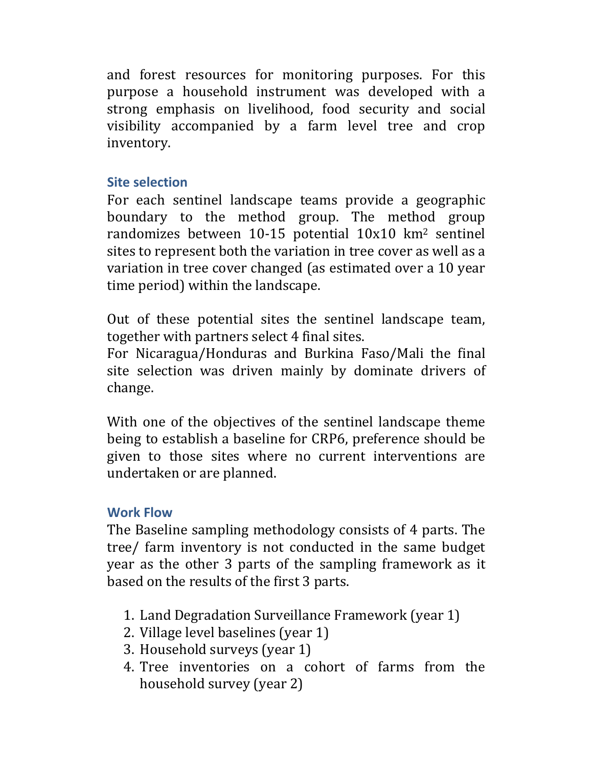and forest resources for monitoring purposes. For this purpose a household instrument was developed with a strong emphasis on livelihood, food security and social visibility accompanied by a farm level tree and crop inventory. 

#### **Site selection**

For each sentinel landscape teams provide a geographic boundary to the method group. The method group randomizes between  $10-15$  potential  $10x10$  km<sup>2</sup> sentinel sites to represent both the variation in tree cover as well as a variation in tree cover changed (as estimated over a 10 year time period) within the landscape.

Out of these potential sites the sentinel landscape team, together with partners select 4 final sites.

For Nicaragua/Honduras and Burkina Faso/Mali the final site selection was driven mainly by dominate drivers of change. 

With one of the objectives of the sentinel landscape theme being to establish a baseline for CRP6, preference should be given to those sites where no current interventions are undertaken or are planned.

# **Work Flow**

The Baseline sampling methodology consists of 4 parts. The tree/ farm inventory is not conducted in the same budget year as the other 3 parts of the sampling framework as it based on the results of the first 3 parts.

- 1. Land Degradation Surveillance Framework (year 1)
- 2. Village level baselines (year 1)
- 3. Household surveys (year 1)
- 4. Tree inventories on a cohort of farms from the household survey (year 2)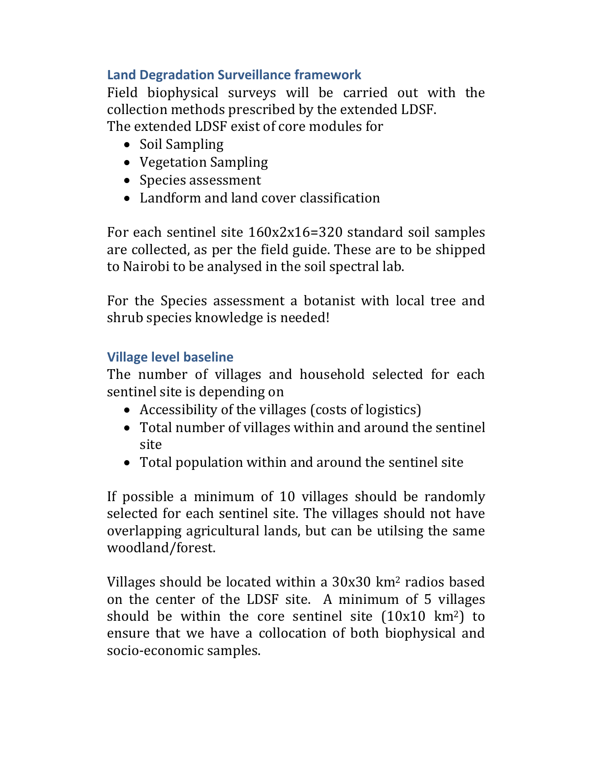# **Land Degradation Surveillance framework**

Field biophysical surveys will be carried out with the collection methods prescribed by the extended LDSF. The extended LDSF exist of core modules for

- Soil Sampling
- Vegetation Sampling
- Species assessment
- Landform and land cover classification

For each sentinel site  $160x2x16=320$  standard soil samples are collected, as per the field guide. These are to be shipped to Nairobi to be analysed in the soil spectral lab.

For the Species assessment a botanist with local tree and shrub species knowledge is needed!

# **Village level baseline**

The number of villages and household selected for each sentinel site is depending on

- Accessibility of the villages (costs of logistics)
- Total number of villages within and around the sentinel site
- Total population within and around the sentinel site

If possible a minimum of 10 villages should be randomly selected for each sentinel site. The villages should not have overlapping agricultural lands, but can be utilsing the same woodland/forest. 

Villages should be located within a  $30x30$  km<sup>2</sup> radios based on the center of the LDSF site. A minimum of 5 villages should be within the core sentinel site  $(10x10 \text{ km}^2)$  to ensure that we have a collocation of both biophysical and socio-economic samples.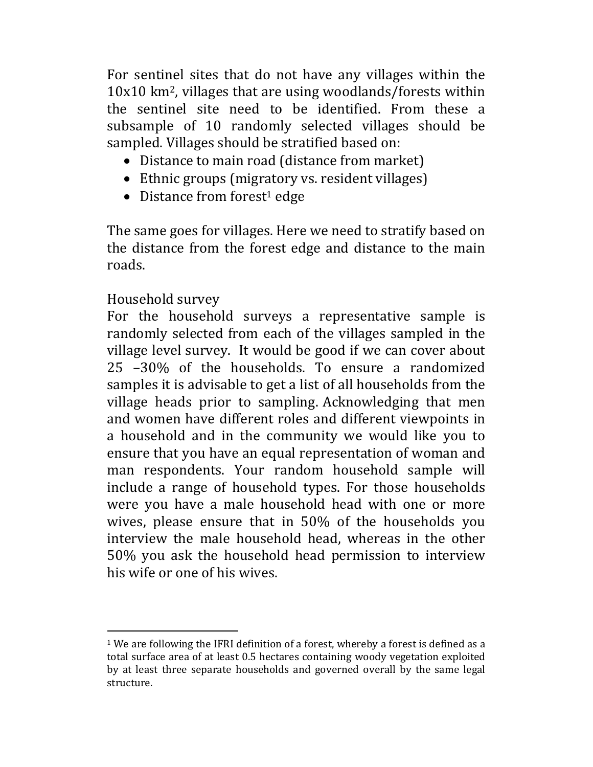For sentinel sites that do not have any villages within the  $10x10$  km<sup>2</sup>, villages that are using woodlands/forests within the sentinel site need to be identified. From these a subsample of 10 randomly selected villages should be sampled. Villages should be stratified based on:

- Distance to main road (distance from market)
- Ethnic groups (migratory vs. resident villages)
- $\bullet$  Distance from forest<sup>1</sup> edge

The same goes for villages. Here we need to stratify based on the distance from the forest edge and distance to the main roads. 

# Household survey

 

For the household surveys a representative sample is randomly selected from each of the villages sampled in the village level survey. It would be good if we can cover about 25 -30% of the households. To ensure a randomized samples it is advisable to get a list of all households from the village heads prior to sampling. Acknowledging that men and women have different roles and different viewpoints in a household and in the community we would like you to ensure that you have an equal representation of woman and man respondents. Your random household sample will include a range of household types. For those households were you have a male household head with one or more wives, please ensure that in  $50\%$  of the households you interview the male household head, whereas in the other 50% you ask the household head permission to interview his wife or one of his wives.

 $1$  We are following the IFRI definition of a forest, whereby a forest is defined as a total surface area of at least 0.5 hectares containing woody vegetation exploited by at least three separate households and governed overall by the same legal structure.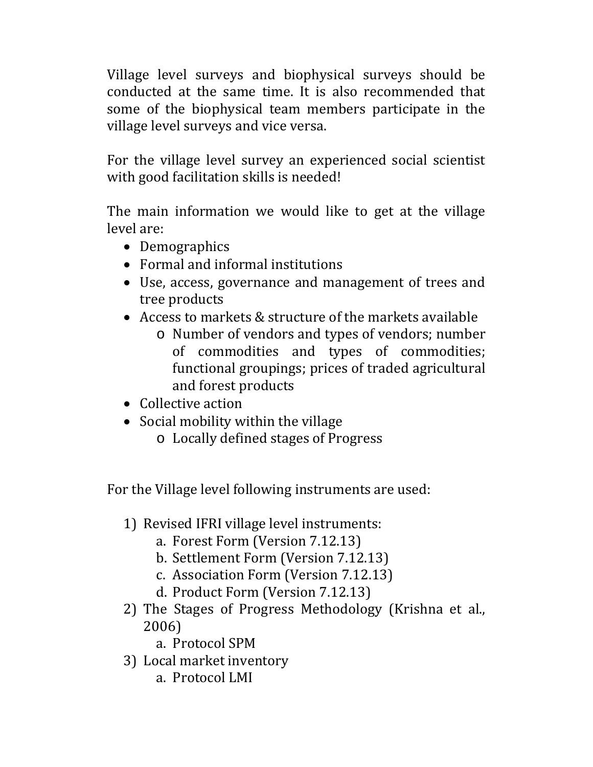Village level surveys and biophysical surveys should be conducted at the same time. It is also recommended that some of the biophysical team members participate in the village level surveys and vice versa.

For the village level survey an experienced social scientist with good facilitation skills is needed!

The main information we would like to get at the village level are:

- Demographics
- Formal and informal institutions
- Use, access, governance and management of trees and tree products
- Access to markets  $&$  structure of the markets available
	- $\circ$  Number of vendors and types of vendors; number of commodities and types of commodities; functional groupings; prices of traded agricultural and forest products
- Collective action
- $\bullet$  Social mobility within the village
	- o Locally defined stages of Progress

For the Village level following instruments are used:

- 1) Revised IFRI village level instruments:
	- a. Forest Form (Version 7.12.13)
	- b. Settlement Form (Version 7.12.13)
	- c. Association Form (Version 7.12.13)
	- d. Product Form (Version 7.12.13)
- 2) The Stages of Progress Methodology (Krishna et al., 2006)
	- a. Protocol SPM
- 3) Local market inventory
	- a. Protocol LMI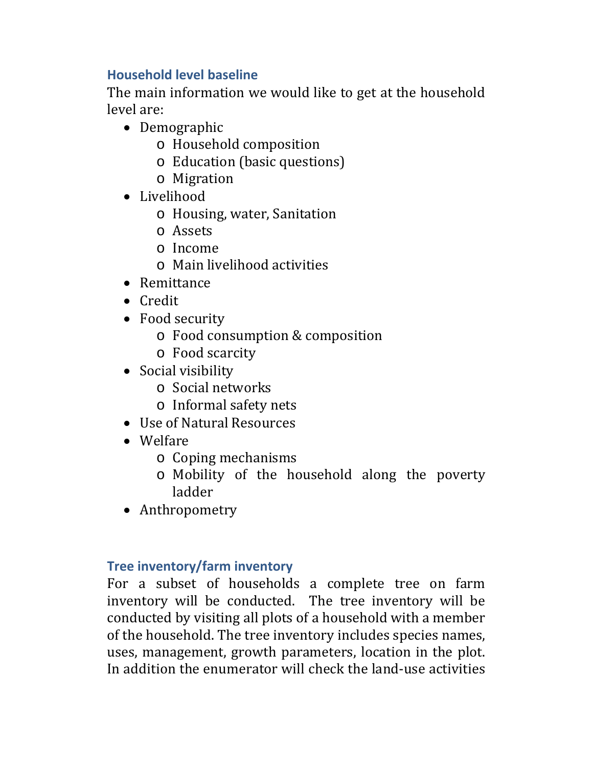# **Household level baseline**

The main information we would like to get at the household level are:

- Demographic
	- o Household composition
	- o Education (basic questions)
	- o Migration
- Livelihood
	- o Housing, water, Sanitation
	- o Assets
	- o Income
	- $\circ$  Main livelihood activities
- Remittance
- Credit
- Food security
	- o Food consumption & composition
	- o Food scarcity
- Social visibility
	- o Social networks
	- o Informal safety nets
- Use of Natural Resources
- Welfare
	- o Coping mechanisms
	- o Mobility of the household along the poverty ladder
- Anthropometry

# **Tree inventory/farm inventory**

For a subset of households a complete tree on farm inventory will be conducted. The tree inventory will be conducted by visiting all plots of a household with a member of the household. The tree inventory includes species names, uses, management, growth parameters, location in the plot. In addition the enumerator will check the land-use activities